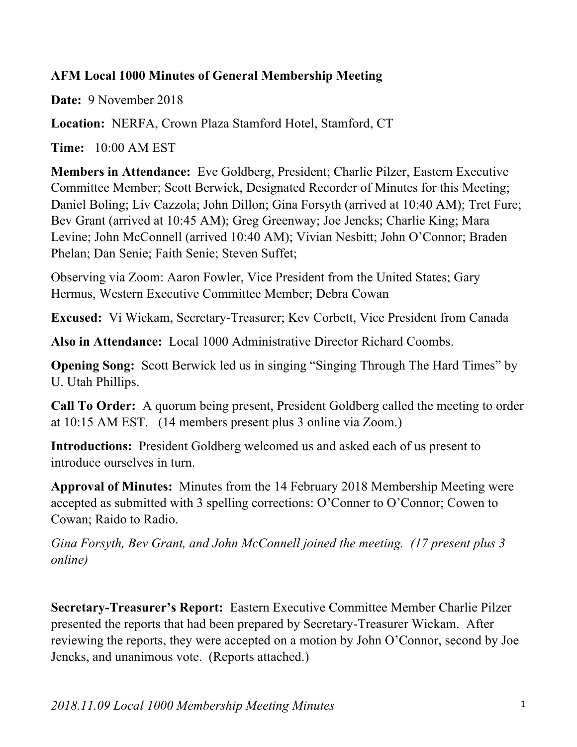## **AFM Local 1000 Minutes of General Membership Meeting**

**Date:** 9 November 2018

**Location:** NERFA, Crown Plaza Stamford Hotel, Stamford, CT

**Time:** 10:00 AM EST

**Members in Attendance:** Eve Goldberg, President; Charlie Pilzer, Eastern Executive Committee Member; Scott Berwick, Designated Recorder of Minutes for this Meeting; Daniel Boling; Liv Cazzola; John Dillon; Gina Forsyth (arrived at 10:40 AM); Tret Fure; Bev Grant (arrived at 10:45 AM); Greg Greenway; Joe Jencks; Charlie King; Mara Levine; John McConnell (arrived 10:40 AM); Vivian Nesbitt; John O'Connor; Braden Phelan; Dan Senie; Faith Senie; Steven Suffet;

Observing via Zoom: Aaron Fowler, Vice President from the United States; Gary Hermus, Western Executive Committee Member; Debra Cowan

**Excused:** Vi Wickam, Secretary-Treasurer; Kev Corbett, Vice President from Canada

**Also in Attendance:** Local 1000 Administrative Director Richard Coombs.

**Opening Song:** Scott Berwick led us in singing "Singing Through The Hard Times" by U. Utah Phillips.

**Call To Order:** A quorum being present, President Goldberg called the meeting to order at 10:15 AM EST. (14 members present plus 3 online via Zoom.)

**Introductions:** President Goldberg welcomed us and asked each of us present to introduce ourselves in turn.

**Approval of Minutes:** Minutes from the 14 February 2018 Membership Meeting were accepted as submitted with 3 spelling corrections: O'Conner to O'Connor; Cowen to Cowan; Raido to Radio.

*Gina Forsyth, Bev Grant, and John McConnell joined the meeting. (17 present plus 3 online)*

**Secretary-Treasurer's Report:** Eastern Executive Committee Member Charlie Pilzer presented the reports that had been prepared by Secretary-Treasurer Wickam. After reviewing the reports, they were accepted on a motion by John O'Connor, second by Joe Jencks, and unanimous vote. (Reports attached.)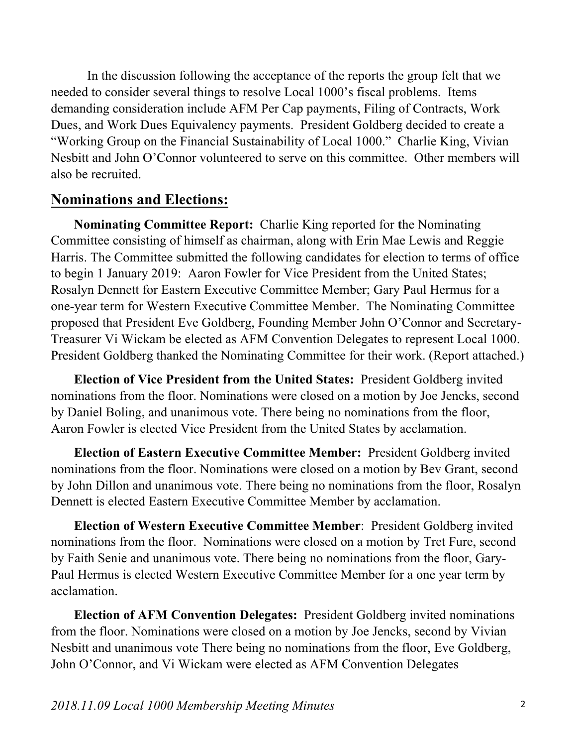In the discussion following the acceptance of the reports the group felt that we needed to consider several things to resolve Local 1000's fiscal problems. Items demanding consideration include AFM Per Cap payments, Filing of Contracts, Work Dues, and Work Dues Equivalency payments. President Goldberg decided to create a "Working Group on the Financial Sustainability of Local 1000." Charlie King, Vivian Nesbitt and John O'Connor volunteered to serve on this committee. Other members will also be recruited.

## **Nominations and Elections:**

 **Nominating Committee Report:** Charlie King reported for **t**he Nominating Committee consisting of himself as chairman, along with Erin Mae Lewis and Reggie Harris. The Committee submitted the following candidates for election to terms of office to begin 1 January 2019: Aaron Fowler for Vice President from the United States; Rosalyn Dennett for Eastern Executive Committee Member; Gary Paul Hermus for a one-year term for Western Executive Committee Member. The Nominating Committee proposed that President Eve Goldberg, Founding Member John O'Connor and Secretary-Treasurer Vi Wickam be elected as AFM Convention Delegates to represent Local 1000. President Goldberg thanked the Nominating Committee for their work. (Report attached.)

 **Election of Vice President from the United States:** President Goldberg invited nominations from the floor. Nominations were closed on a motion by Joe Jencks, second by Daniel Boling, and unanimous vote. There being no nominations from the floor, Aaron Fowler is elected Vice President from the United States by acclamation.

 **Election of Eastern Executive Committee Member:** President Goldberg invited nominations from the floor. Nominations were closed on a motion by Bev Grant, second by John Dillon and unanimous vote. There being no nominations from the floor, Rosalyn Dennett is elected Eastern Executive Committee Member by acclamation.

 **Election of Western Executive Committee Member**: President Goldberg invited nominations from the floor. Nominations were closed on a motion by Tret Fure, second by Faith Senie and unanimous vote. There being no nominations from the floor, Gary-Paul Hermus is elected Western Executive Committee Member for a one year term by acclamation.

 **Election of AFM Convention Delegates:** President Goldberg invited nominations from the floor. Nominations were closed on a motion by Joe Jencks, second by Vivian Nesbitt and unanimous vote There being no nominations from the floor, Eve Goldberg, John O'Connor, and Vi Wickam were elected as AFM Convention Delegates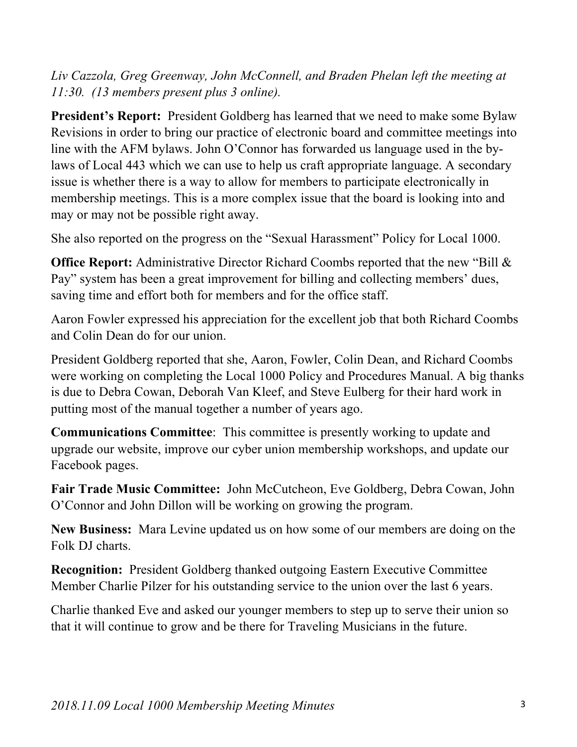*Liv Cazzola, Greg Greenway, John McConnell, and Braden Phelan left the meeting at 11:30. (13 members present plus 3 online).*

**President's Report:** President Goldberg has learned that we need to make some Bylaw Revisions in order to bring our practice of electronic board and committee meetings into line with the AFM bylaws. John O'Connor has forwarded us language used in the bylaws of Local 443 which we can use to help us craft appropriate language. A secondary issue is whether there is a way to allow for members to participate electronically in membership meetings. This is a more complex issue that the board is looking into and may or may not be possible right away.

She also reported on the progress on the "Sexual Harassment" Policy for Local 1000.

**Office Report:** Administrative Director Richard Coombs reported that the new "Bill & Pay" system has been a great improvement for billing and collecting members' dues, saving time and effort both for members and for the office staff.

Aaron Fowler expressed his appreciation for the excellent job that both Richard Coombs and Colin Dean do for our union.

President Goldberg reported that she, Aaron, Fowler, Colin Dean, and Richard Coombs were working on completing the Local 1000 Policy and Procedures Manual. A big thanks is due to Debra Cowan, Deborah Van Kleef, and Steve Eulberg for their hard work in putting most of the manual together a number of years ago.

**Communications Committee**: This committee is presently working to update and upgrade our website, improve our cyber union membership workshops, and update our Facebook pages.

**Fair Trade Music Committee:** John McCutcheon, Eve Goldberg, Debra Cowan, John O'Connor and John Dillon will be working on growing the program.

**New Business:** Mara Levine updated us on how some of our members are doing on the Folk DJ charts.

**Recognition:** President Goldberg thanked outgoing Eastern Executive Committee Member Charlie Pilzer for his outstanding service to the union over the last 6 years.

Charlie thanked Eve and asked our younger members to step up to serve their union so that it will continue to grow and be there for Traveling Musicians in the future.